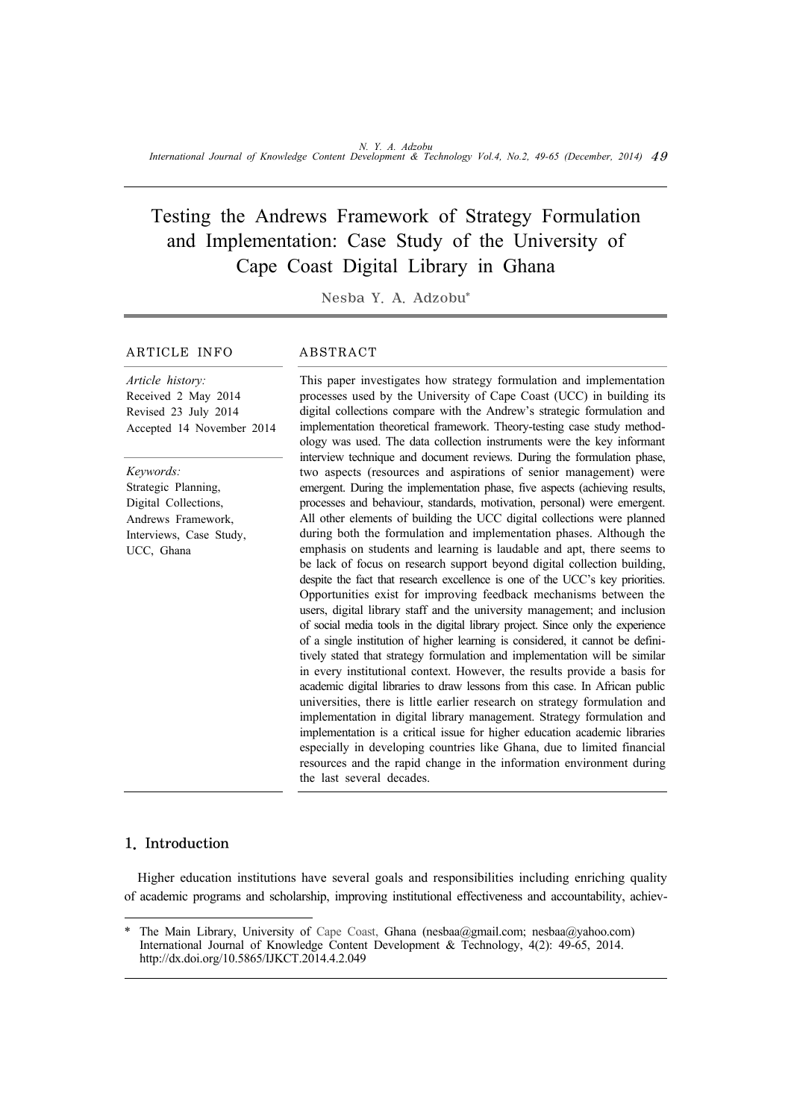# Testing the Andrews Framework of Strategy Formulation and Implementation: Case Study of the University of Cape Coast Digital Library in Ghana

Nesba Y. A. Adzobu\*

#### ARTICLE INFO ABSTRACT

# *Article history:* Received 2 May 2014 Revised 23 July 2014 Accepted 14 November 2014

*Keywords:* Strategic Planning, Digital Collections, Andrews Framework, Interviews, Case Study, UCC, Ghana

This paper investigates how strategy formulation and implementation processes used by the University of Cape Coast (UCC) in building its digital collections compare with the Andrew's strategic formulation and implementation theoretical framework. Theory-testing case study methodology was used. The data collection instruments were the key informant interview technique and document reviews. During the formulation phase, two aspects (resources and aspirations of senior management) were emergent. During the implementation phase, five aspects (achieving results, processes and behaviour, standards, motivation, personal) were emergent. All other elements of building the UCC digital collections were planned during both the formulation and implementation phases. Although the emphasis on students and learning is laudable and apt, there seems to be lack of focus on research support beyond digital collection building, despite the fact that research excellence is one of the UCC's key priorities. Opportunities exist for improving feedback mechanisms between the users, digital library staff and the university management; and inclusion of social media tools in the digital library project. Since only the experience of a single institution of higher learning is considered, it cannot be definitively stated that strategy formulation and implementation will be similar in every institutional context. However, the results provide a basis for academic digital libraries to draw lessons from this case. In African public universities, there is little earlier research on strategy formulation and implementation in digital library management. Strategy formulation and implementation is a critical issue for higher education academic libraries especially in developing countries like Ghana, due to limited financial resources and the rapid change in the information environment during the last several decades.

# 1. Introduction

Higher education institutions have several goals and responsibilities including enriching quality of academic programs and scholarship, improving institutional effectiveness and accountability, achiev-

The Main Library, University of Cape Coast, Ghana (nesbaa@gmail.com; nesbaa@yahoo.com) International Journal of Knowledge Content Development & Technology, 4(2): 49-65, 2014. http://dx.doi.org/10.5865/IJKCT.2014.4.2.049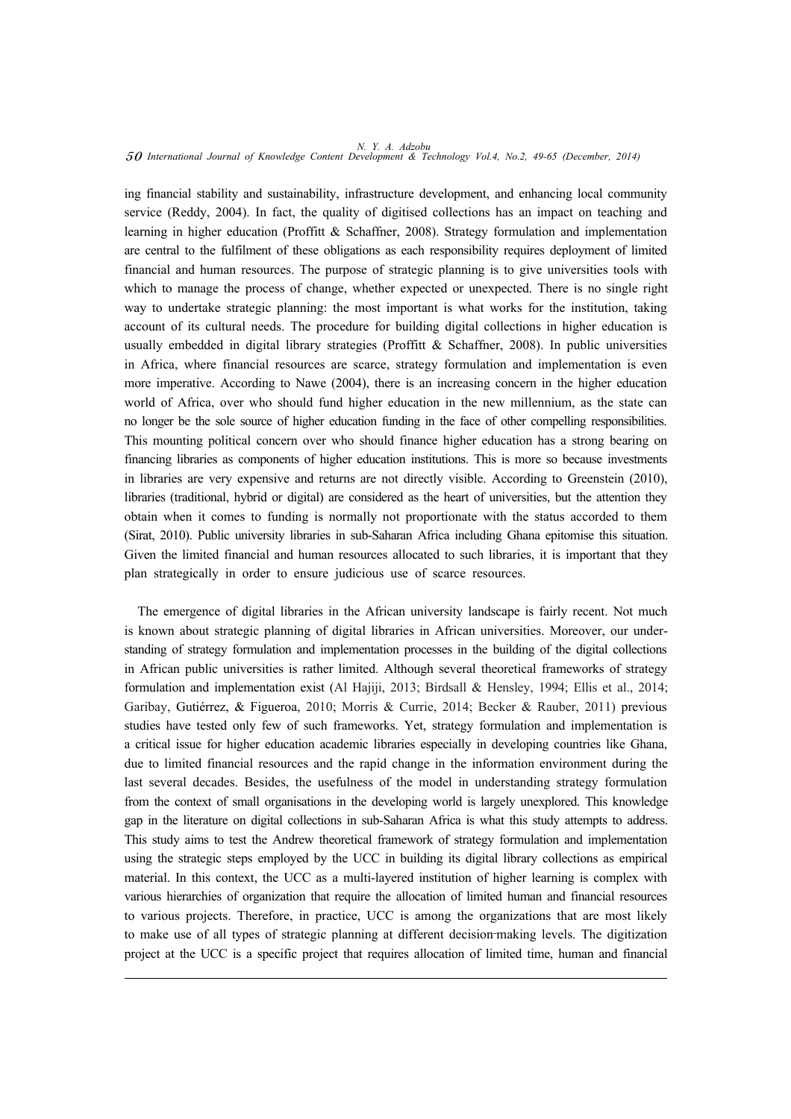ing financial stability and sustainability, infrastructure development, and enhancing local community service (Reddy, 2004). In fact, the quality of digitised collections has an impact on teaching and learning in higher education (Proffitt & Schaffner, 2008). Strategy formulation and implementation are central to the fulfilment of these obligations as each responsibility requires deployment of limited financial and human resources. The purpose of strategic planning is to give universities tools with which to manage the process of change, whether expected or unexpected. There is no single right way to undertake strategic planning: the most important is what works for the institution, taking account of its cultural needs. The procedure for building digital collections in higher education is usually embedded in digital library strategies (Proffitt & Schaffner, 2008). In public universities in Africa, where financial resources are scarce, strategy formulation and implementation is even more imperative. According to Nawe (2004), there is an increasing concern in the higher education world of Africa, over who should fund higher education in the new millennium, as the state can no longer be the sole source of higher education funding in the face of other compelling responsibilities. This mounting political concern over who should finance higher education has a strong bearing on financing libraries as components of higher education institutions. This is more so because investments in libraries are very expensive and returns are not directly visible. According to Greenstein (2010), libraries (traditional, hybrid or digital) are considered as the heart of universities, but the attention they obtain when it comes to funding is normally not proportionate with the status accorded to them (Sirat, 2010). Public university libraries in sub-Saharan Africa including Ghana epitomise this situation. Given the limited financial and human resources allocated to such libraries, it is important that they plan strategically in order to ensure judicious use of scarce resources.

The emergence of digital libraries in the African university landscape is fairly recent. Not much is known about strategic planning of digital libraries in African universities. Moreover, our understanding of strategy formulation and implementation processes in the building of the digital collections in African public universities is rather limited. Although several theoretical frameworks of strategy formulation and implementation exist (Al Hajiji, 2013; Birdsall & Hensley, 1994; Ellis et al., 2014; Garibay, Gutiérrez, & Figueroa, 2010; Morris & Currie, 2014; Becker & Rauber, 2011) previous studies have tested only few of such frameworks. Yet, strategy formulation and implementation is a critical issue for higher education academic libraries especially in developing countries like Ghana, due to limited financial resources and the rapid change in the information environment during the last several decades. Besides, the usefulness of the model in understanding strategy formulation from the context of small organisations in the developing world is largely unexplored. This knowledge gap in the literature on digital collections in sub-Saharan Africa is what this study attempts to address. This study aims to test the Andrew theoretical framework of strategy formulation and implementation using the strategic steps employed by the UCC in building its digital library collections as empirical material. In this context, the UCC as a multi-layered institution of higher learning is complex with various hierarchies of organization that require the allocation of limited human and financial resources to various projects. Therefore, in practice, UCC is among the organizations that are most likely to make use of all types of strategic planning at different decision-making levels. The digitization project at the UCC is a specific project that requires allocation of limited time, human and financial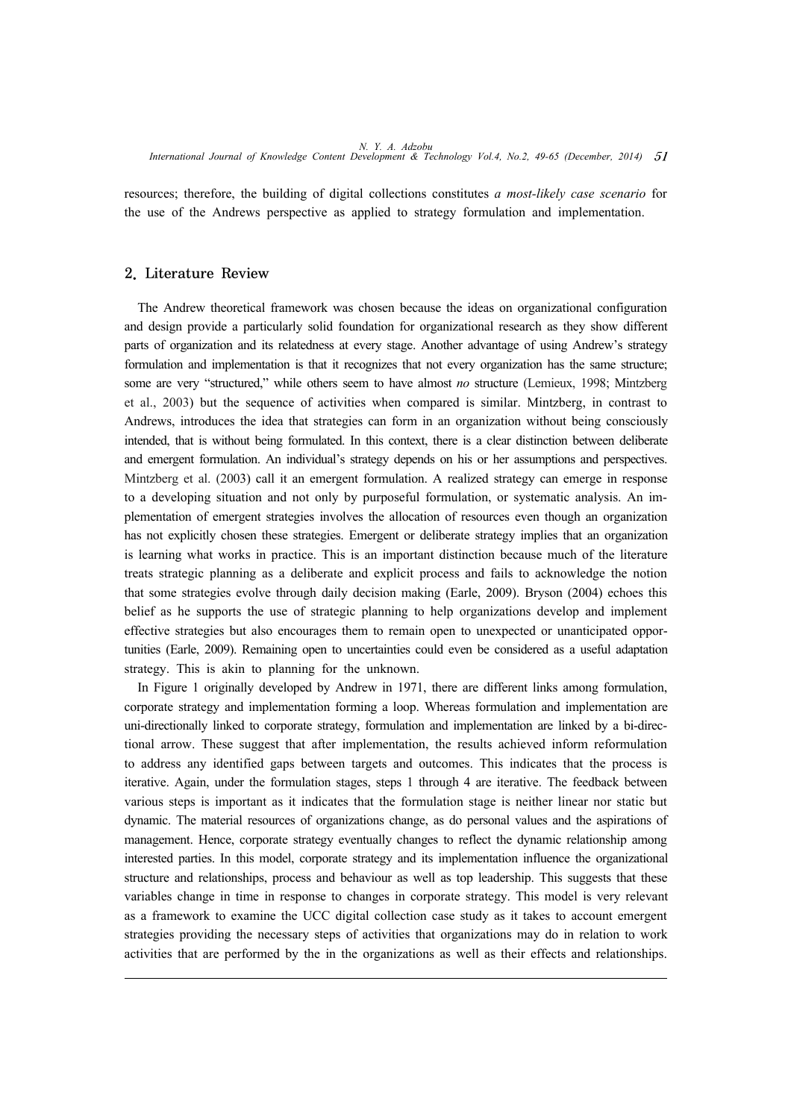resources; therefore, the building of digital collections constitutes *a most-likely case scenario* for the use of the Andrews perspective as applied to strategy formulation and implementation.

#### 2. Literature Review

The Andrew theoretical framework was chosen because the ideas on organizational configuration and design provide a particularly solid foundation for organizational research as they show different parts of organization and its relatedness at every stage. Another advantage of using Andrew's strategy formulation and implementation is that it recognizes that not every organization has the same structure; some are very "structured," while others seem to have almost *no* structure (Lemieux, 1998; Mintzberg et al., 2003) but the sequence of activities when compared is similar. Mintzberg, in contrast to Andrews, introduces the idea that strategies can form in an organization without being consciously intended, that is without being formulated. In this context, there is a clear distinction between deliberate and emergent formulation. An individual's strategy depends on his or her assumptions and perspectives. Mintzberg et al. (2003) call it an emergent formulation. A realized strategy can emerge in response to a developing situation and not only by purposeful formulation, or systematic analysis. An implementation of emergent strategies involves the allocation of resources even though an organization has not explicitly chosen these strategies. Emergent or deliberate strategy implies that an organization is learning what works in practice. This is an important distinction because much of the literature treats strategic planning as a deliberate and explicit process and fails to acknowledge the notion that some strategies evolve through daily decision making (Earle, 2009). Bryson (2004) echoes this belief as he supports the use of strategic planning to help organizations develop and implement effective strategies but also encourages them to remain open to unexpected or unanticipated opportunities (Earle, 2009). Remaining open to uncertainties could even be considered as a useful adaptation strategy. This is akin to planning for the unknown.

In Figure 1 originally developed by Andrew in 1971, there are different links among formulation, corporate strategy and implementation forming a loop. Whereas formulation and implementation are uni-directionally linked to corporate strategy, formulation and implementation are linked by a bi-directional arrow. These suggest that after implementation, the results achieved inform reformulation to address any identified gaps between targets and outcomes. This indicates that the process is iterative. Again, under the formulation stages, steps 1 through 4 are iterative. The feedback between various steps is important as it indicates that the formulation stage is neither linear nor static but dynamic. The material resources of organizations change, as do personal values and the aspirations of management. Hence, corporate strategy eventually changes to reflect the dynamic relationship among interested parties. In this model, corporate strategy and its implementation influence the organizational structure and relationships, process and behaviour as well as top leadership. This suggests that these variables change in time in response to changes in corporate strategy. This model is very relevant as a framework to examine the UCC digital collection case study as it takes to account emergent strategies providing the necessary steps of activities that organizations may do in relation to work activities that are performed by the in the organizations as well as their effects and relationships.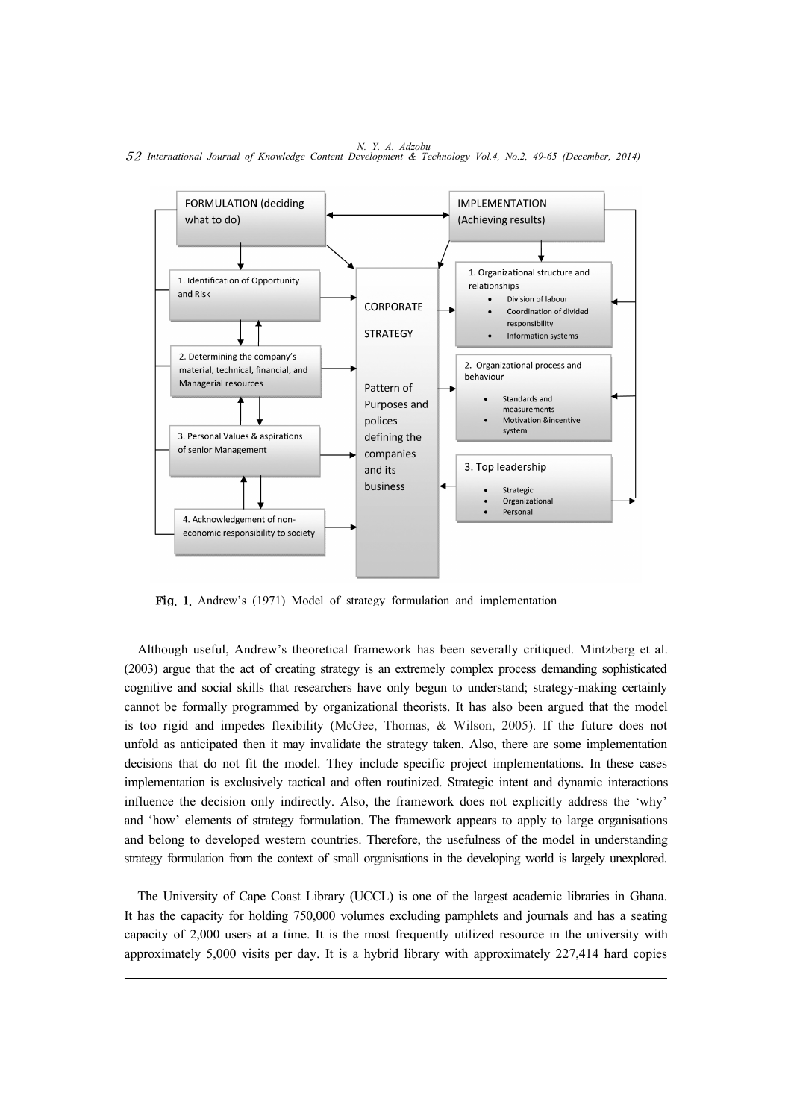*N. Y. A. Adzobu* 52 *International Journal of Knowledge Content Development & Technology Vol.4, No.2, 49-65 (December, 2014)*



Fig. 1. Andrew's (1971) Model of strategy formulation and implementation

Although useful, Andrew's theoretical framework has been severally critiqued. Mintzberg et al. (2003) argue that the act of creating strategy is an extremely complex process demanding sophisticated cognitive and social skills that researchers have only begun to understand; strategy-making certainly cannot be formally programmed by organizational theorists. It has also been argued that the model is too rigid and impedes flexibility (McGee, Thomas, & Wilson, 2005). If the future does not unfold as anticipated then it may invalidate the strategy taken. Also, there are some implementation decisions that do not fit the model. They include specific project implementations. In these cases implementation is exclusively tactical and often routinized. Strategic intent and dynamic interactions influence the decision only indirectly. Also, the framework does not explicitly address the 'why' and 'how' elements of strategy formulation. The framework appears to apply to large organisations and belong to developed western countries. Therefore, the usefulness of the model in understanding strategy formulation from the context of small organisations in the developing world is largely unexplored.

The University of Cape Coast Library (UCCL) is one of the largest academic libraries in Ghana. It has the capacity for holding 750,000 volumes excluding pamphlets and journals and has a seating capacity of 2,000 users at a time. It is the most frequently utilized resource in the university with approximately 5,000 visits per day. It is a hybrid library with approximately 227,414 hard copies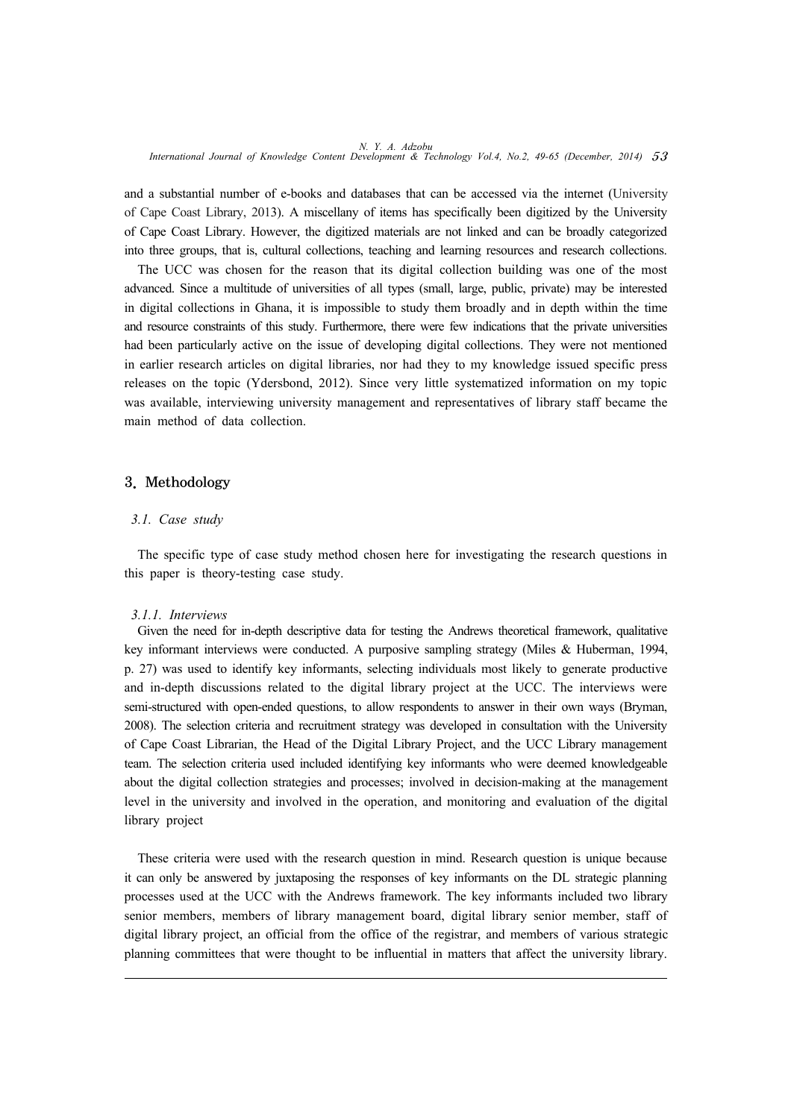and a substantial number of e-books and databases that can be accessed via the internet (University of Cape Coast Library, 2013). A miscellany of items has specifically been digitized by the University of Cape Coast Library. However, the digitized materials are not linked and can be broadly categorized into three groups, that is, cultural collections, teaching and learning resources and research collections.

The UCC was chosen for the reason that its digital collection building was one of the most advanced. Since a multitude of universities of all types (small, large, public, private) may be interested in digital collections in Ghana, it is impossible to study them broadly and in depth within the time and resource constraints of this study. Furthermore, there were few indications that the private universities had been particularly active on the issue of developing digital collections. They were not mentioned in earlier research articles on digital libraries, nor had they to my knowledge issued specific press releases on the topic (Ydersbond, 2012). Since very little systematized information on my topic was available, interviewing university management and representatives of library staff became the main method of data collection.

#### 3. Methodology

#### *3.1. Case study*

The specific type of case study method chosen here for investigating the research questions in this paper is theory-testing case study.

#### *3.1.1. Interviews*

Given the need for in-depth descriptive data for testing the Andrews theoretical framework, qualitative key informant interviews were conducted. A purposive sampling strategy (Miles & Huberman, 1994, p. 27) was used to identify key informants, selecting individuals most likely to generate productive and in-depth discussions related to the digital library project at the UCC. The interviews were semi-structured with open-ended questions, to allow respondents to answer in their own ways (Bryman, 2008). The selection criteria and recruitment strategy was developed in consultation with the University of Cape Coast Librarian, the Head of the Digital Library Project, and the UCC Library management team. The selection criteria used included identifying key informants who were deemed knowledgeable about the digital collection strategies and processes; involved in decision-making at the management level in the university and involved in the operation, and monitoring and evaluation of the digital library project

These criteria were used with the research question in mind. Research question is unique because it can only be answered by juxtaposing the responses of key informants on the DL strategic planning processes used at the UCC with the Andrews framework. The key informants included two library senior members, members of library management board, digital library senior member, staff of digital library project, an official from the office of the registrar, and members of various strategic planning committees that were thought to be influential in matters that affect the university library.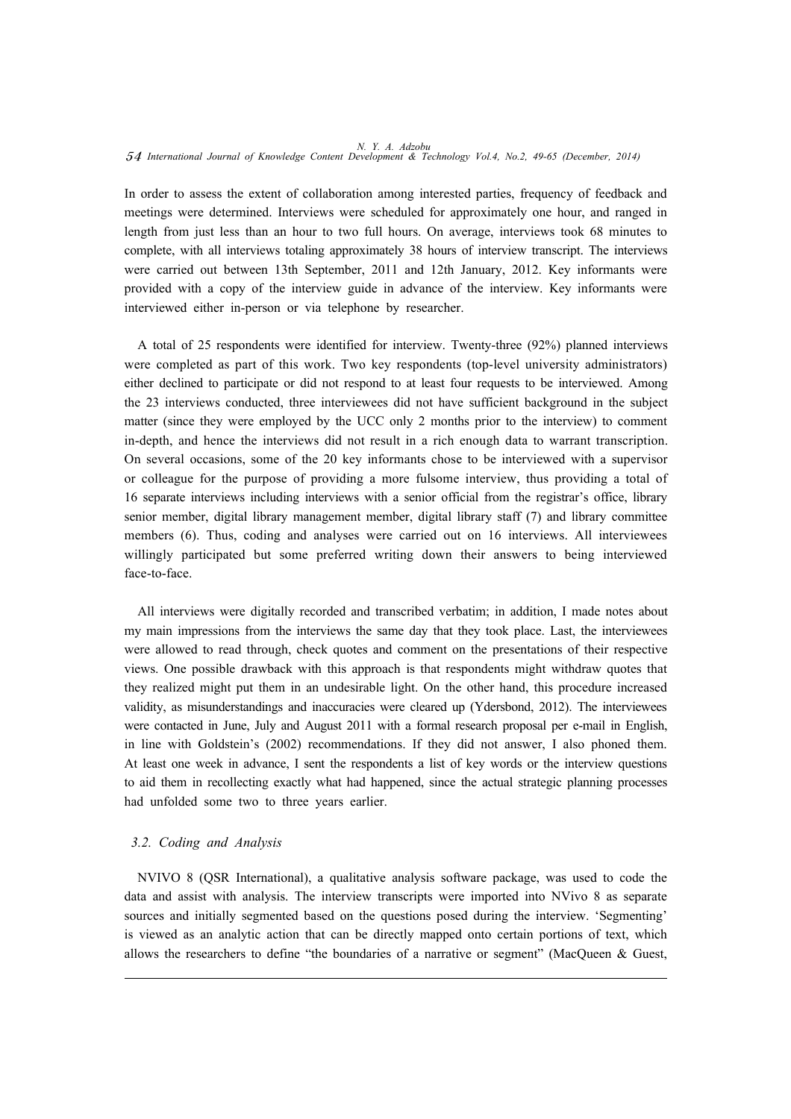In order to assess the extent of collaboration among interested parties, frequency of feedback and meetings were determined. Interviews were scheduled for approximately one hour, and ranged in length from just less than an hour to two full hours. On average, interviews took 68 minutes to complete, with all interviews totaling approximately 38 hours of interview transcript. The interviews were carried out between 13th September, 2011 and 12th January, 2012. Key informants were provided with a copy of the interview guide in advance of the interview. Key informants were interviewed either in-person or via telephone by researcher.

A total of 25 respondents were identified for interview. Twenty-three (92%) planned interviews were completed as part of this work. Two key respondents (top-level university administrators) either declined to participate or did not respond to at least four requests to be interviewed. Among the 23 interviews conducted, three interviewees did not have sufficient background in the subject matter (since they were employed by the UCC only 2 months prior to the interview) to comment in-depth, and hence the interviews did not result in a rich enough data to warrant transcription. On several occasions, some of the 20 key informants chose to be interviewed with a supervisor or colleague for the purpose of providing a more fulsome interview, thus providing a total of 16 separate interviews including interviews with a senior official from the registrar's office, library senior member, digital library management member, digital library staff (7) and library committee members (6). Thus, coding and analyses were carried out on 16 interviews. All interviewees willingly participated but some preferred writing down their answers to being interviewed face-to-face.

All interviews were digitally recorded and transcribed verbatim; in addition, I made notes about my main impressions from the interviews the same day that they took place. Last, the interviewees were allowed to read through, check quotes and comment on the presentations of their respective views. One possible drawback with this approach is that respondents might withdraw quotes that they realized might put them in an undesirable light. On the other hand, this procedure increased validity, as misunderstandings and inaccuracies were cleared up (Ydersbond, 2012). The interviewees were contacted in June, July and August 2011 with a formal research proposal per e-mail in English, in line with Goldstein's (2002) recommendations. If they did not answer, I also phoned them. At least one week in advance, I sent the respondents a list of key words or the interview questions to aid them in recollecting exactly what had happened, since the actual strategic planning processes had unfolded some two to three years earlier.

# *3.2. Coding and Analysis*

NVIVO 8 (QSR International), a qualitative analysis software package, was used to code the data and assist with analysis. The interview transcripts were imported into NVivo 8 as separate sources and initially segmented based on the questions posed during the interview. 'Segmenting' is viewed as an analytic action that can be directly mapped onto certain portions of text, which allows the researchers to define "the boundaries of a narrative or segment" (MacQueen & Guest,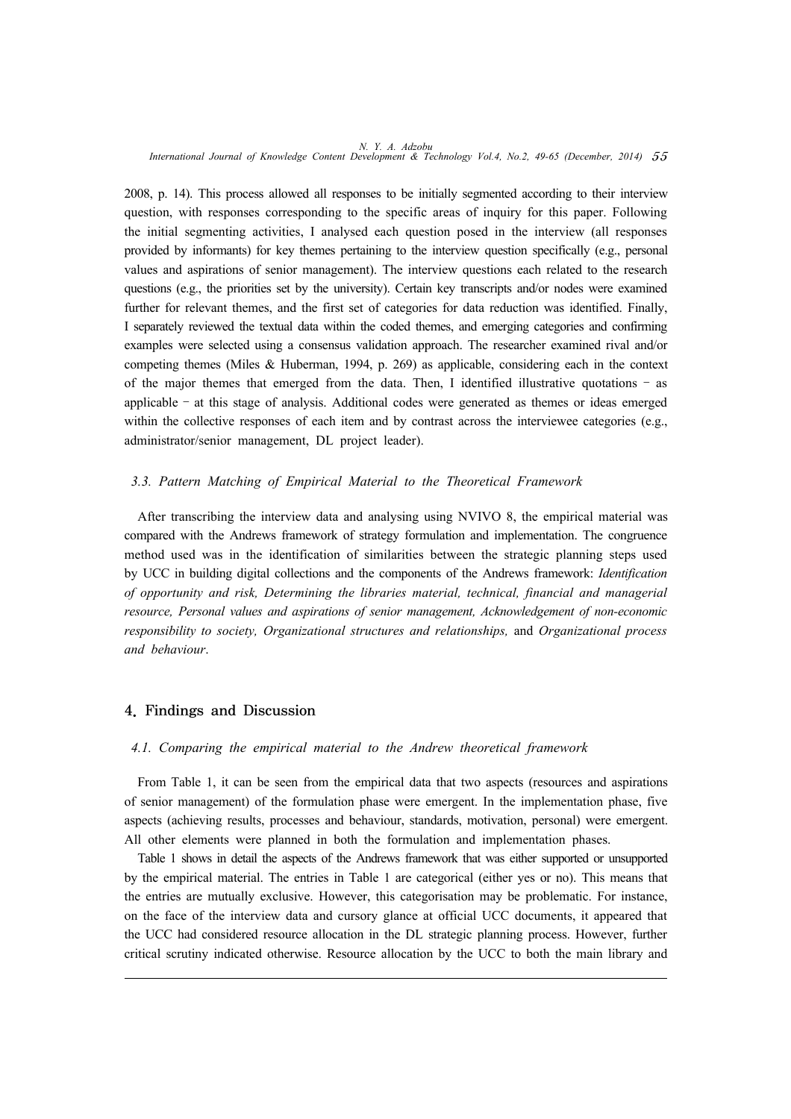2008, p. 14). This process allowed all responses to be initially segmented according to their interview question, with responses corresponding to the specific areas of inquiry for this paper. Following the initial segmenting activities, I analysed each question posed in the interview (all responses provided by informants) for key themes pertaining to the interview question specifically (e.g., personal values and aspirations of senior management). The interview questions each related to the research questions (e.g., the priorities set by the university). Certain key transcripts and/or nodes were examined further for relevant themes, and the first set of categories for data reduction was identified. Finally, I separately reviewed the textual data within the coded themes, and emerging categories and confirming examples were selected using a consensus validation approach. The researcher examined rival and/or competing themes (Miles & Huberman, 1994, p. 269) as applicable, considering each in the context of the major themes that emerged from the data. Then, I identified illustrative quotations – as applicable – at this stage of analysis. Additional codes were generated as themes or ideas emerged within the collective responses of each item and by contrast across the interviewee categories (e.g., administrator/senior management, DL project leader).

# *3.3. Pattern Matching of Empirical Material to the Theoretical Framework*

After transcribing the interview data and analysing using NVIVO 8, the empirical material was compared with the Andrews framework of strategy formulation and implementation. The congruence method used was in the identification of similarities between the strategic planning steps used by UCC in building digital collections and the components of the Andrews framework: *Identification of opportunity and risk, Determining the libraries material, technical, financial and managerial resource, Personal values and aspirations of senior management, Acknowledgement of non-economic responsibility to society, Organizational structures and relationships,* and *Organizational process and behaviour*.

# 4. Findings and Discussion

# *4.1. Comparing the empirical material to the Andrew theoretical framework*

From Table 1, it can be seen from the empirical data that two aspects (resources and aspirations of senior management) of the formulation phase were emergent. In the implementation phase, five aspects (achieving results, processes and behaviour, standards, motivation, personal) were emergent. All other elements were planned in both the formulation and implementation phases.

Table 1 shows in detail the aspects of the Andrews framework that was either supported or unsupported by the empirical material. The entries in Table 1 are categorical (either yes or no). This means that the entries are mutually exclusive. However, this categorisation may be problematic. For instance, on the face of the interview data and cursory glance at official UCC documents, it appeared that the UCC had considered resource allocation in the DL strategic planning process. However, further critical scrutiny indicated otherwise. Resource allocation by the UCC to both the main library and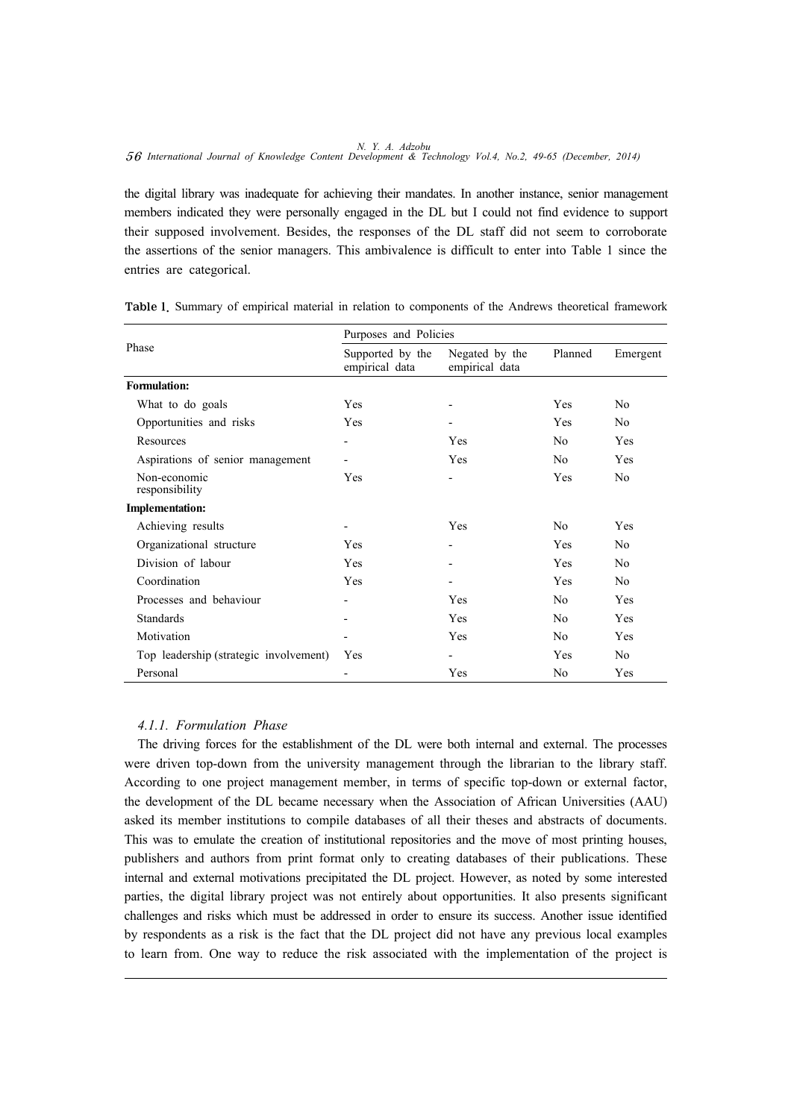the digital library was inadequate for achieving their mandates. In another instance, senior management members indicated they were personally engaged in the DL but I could not find evidence to support their supposed involvement. Besides, the responses of the DL staff did not seem to corroborate the assertions of the senior managers. This ambivalence is difficult to enter into Table 1 since the entries are categorical.

| Phase                                  | Purposes and Policies              |                                  |                |                |
|----------------------------------------|------------------------------------|----------------------------------|----------------|----------------|
|                                        | Supported by the<br>empirical data | Negated by the<br>empirical data | Planned        | Emergent       |
| <b>Formulation:</b>                    |                                    |                                  |                |                |
| What to do goals                       | Yes                                |                                  | Yes            | N <sub>0</sub> |
| Opportunities and risks                | <b>Yes</b>                         | $\overline{\phantom{a}}$         | <b>Yes</b>     | N <sub>0</sub> |
| Resources                              | $\overline{\phantom{a}}$           | Yes                              | N <sub>0</sub> | <b>Yes</b>     |
| Aspirations of senior management       |                                    | Yes                              | N <sub>0</sub> | Yes            |
| Non-economic<br>responsibility         | Yes                                | $\overline{\phantom{a}}$         | Yes            | N <sub>0</sub> |
| <b>Implementation:</b>                 |                                    |                                  |                |                |
| Achieving results                      | $\overline{\phantom{a}}$           | Yes                              | N <sub>0</sub> | Yes            |
| Organizational structure               | Yes                                |                                  | Yes            | N <sub>0</sub> |
| Division of labour                     | <b>Yes</b>                         | $\blacksquare$                   | <b>Yes</b>     | No             |
| Coordination                           | Yes                                | $\overline{\phantom{a}}$         | <b>Yes</b>     | N <sub>0</sub> |
| Processes and behaviour                | $\overline{\phantom{a}}$           | Yes                              | N <sub>0</sub> | Yes            |
| <b>Standards</b>                       | $\overline{\phantom{a}}$           | Yes                              | N <sub>0</sub> | Yes            |
| Motivation                             |                                    | Yes                              | N <sub>0</sub> | Yes            |
| Top leadership (strategic involvement) | Yes                                |                                  | <b>Yes</b>     | No.            |
| Personal                               |                                    | Yes                              | N <sub>0</sub> | Yes            |

Table 1. Summary of empirical material in relation to components of the Andrews theoretical framework

# *4.1.1. Formulation Phase*

The driving forces for the establishment of the DL were both internal and external. The processes were driven top-down from the university management through the librarian to the library staff. According to one project management member, in terms of specific top-down or external factor, the development of the DL became necessary when the Association of African Universities (AAU) asked its member institutions to compile databases of all their theses and abstracts of documents. This was to emulate the creation of institutional repositories and the move of most printing houses, publishers and authors from print format only to creating databases of their publications. These internal and external motivations precipitated the DL project. However, as noted by some interested parties, the digital library project was not entirely about opportunities. It also presents significant challenges and risks which must be addressed in order to ensure its success. Another issue identified by respondents as a risk is the fact that the DL project did not have any previous local examples to learn from. One way to reduce the risk associated with the implementation of the project is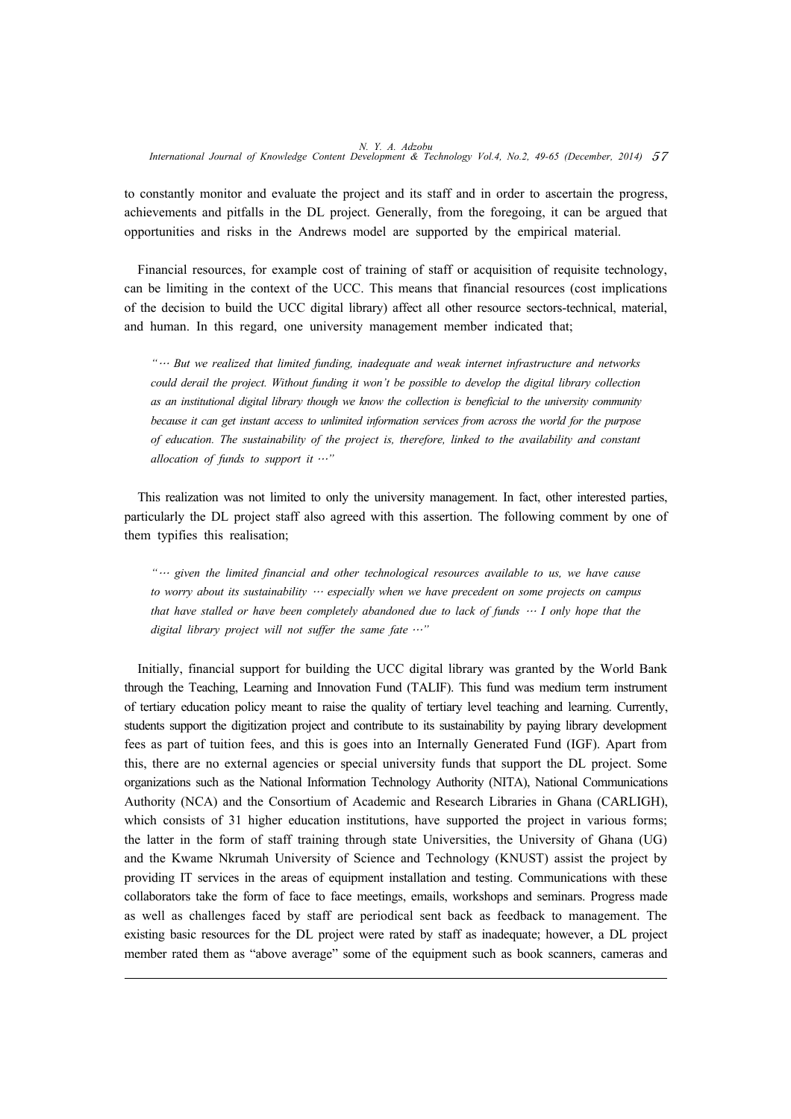to constantly monitor and evaluate the project and its staff and in order to ascertain the progress, achievements and pitfalls in the DL project. Generally, from the foregoing, it can be argued that opportunities and risks in the Andrews model are supported by the empirical material.

Financial resources, for example cost of training of staff or acquisition of requisite technology, can be limiting in the context of the UCC. This means that financial resources (cost implications of the decision to build the UCC digital library) affect all other resource sectors-technical, material, and human. In this regard, one university management member indicated that;

*"*… *But we realized that limited funding, inadequate and weak internet infrastructure and networks could derail the project. Without funding it won't be possible to develop the digital library collection as an institutional digital library though we know the collection is beneficial to the university community because it can get instant access to unlimited information services from across the world for the purpose of education. The sustainability of the project is, therefore, linked to the availability and constant allocation of funds to support it* …*"*

This realization was not limited to only the university management. In fact, other interested parties, particularly the DL project staff also agreed with this assertion. The following comment by one of them typifies this realisation;

*"*… *given the limited financial and other technological resources available to us, we have cause to worry about its sustainability* … *especially when we have precedent on some projects on campus that have stalled or have been completely abandoned due to lack of funds* … *I only hope that the digital library project will not suffer the same fate* …*"*

Initially, financial support for building the UCC digital library was granted by the World Bank through the Teaching, Learning and Innovation Fund (TALIF). This fund was medium term instrument of tertiary education policy meant to raise the quality of tertiary level teaching and learning. Currently, students support the digitization project and contribute to its sustainability by paying library development fees as part of tuition fees, and this is goes into an Internally Generated Fund (IGF). Apart from this, there are no external agencies or special university funds that support the DL project. Some organizations such as the National Information Technology Authority (NITA), National Communications Authority (NCA) and the Consortium of Academic and Research Libraries in Ghana (CARLIGH), which consists of 31 higher education institutions, have supported the project in various forms; the latter in the form of staff training through state Universities, the University of Ghana (UG) and the Kwame Nkrumah University of Science and Technology (KNUST) assist the project by providing IT services in the areas of equipment installation and testing. Communications with these collaborators take the form of face to face meetings, emails, workshops and seminars. Progress made as well as challenges faced by staff are periodical sent back as feedback to management. The existing basic resources for the DL project were rated by staff as inadequate; however, a DL project member rated them as "above average" some of the equipment such as book scanners, cameras and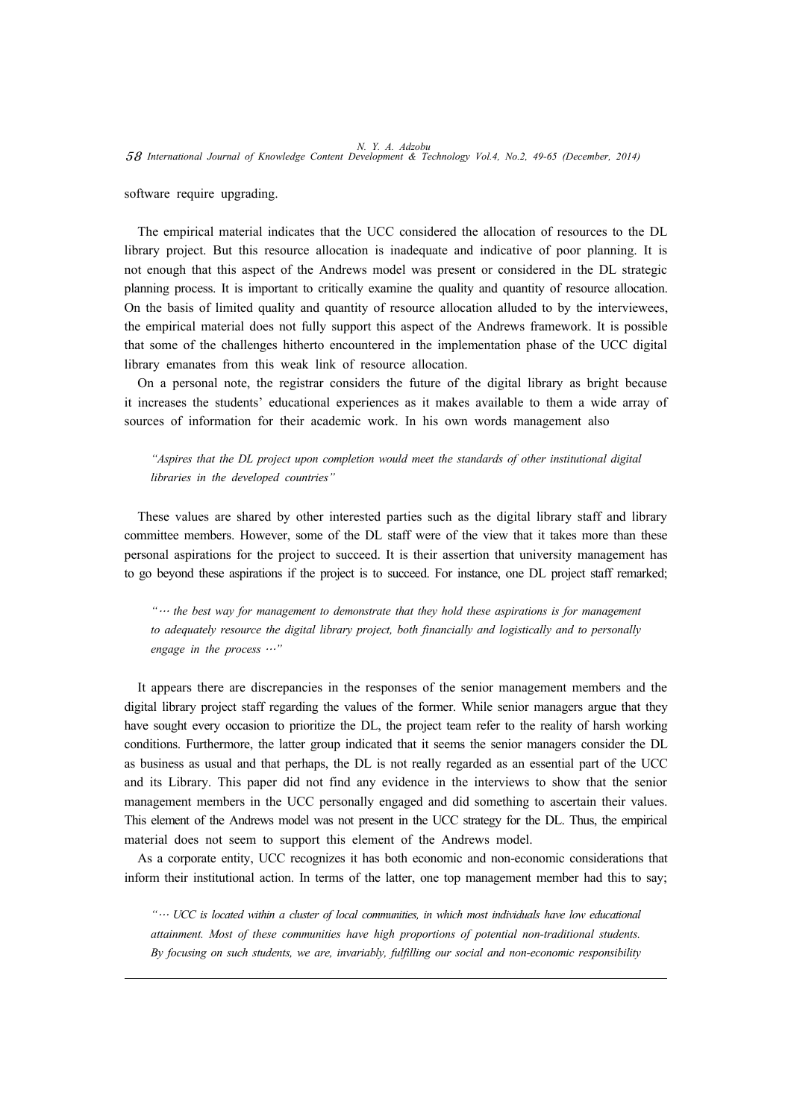software require upgrading.

The empirical material indicates that the UCC considered the allocation of resources to the DL library project. But this resource allocation is inadequate and indicative of poor planning. It is not enough that this aspect of the Andrews model was present or considered in the DL strategic planning process. It is important to critically examine the quality and quantity of resource allocation. On the basis of limited quality and quantity of resource allocation alluded to by the interviewees, the empirical material does not fully support this aspect of the Andrews framework. It is possible that some of the challenges hitherto encountered in the implementation phase of the UCC digital library emanates from this weak link of resource allocation.

On a personal note, the registrar considers the future of the digital library as bright because it increases the students' educational experiences as it makes available to them a wide array of sources of information for their academic work. In his own words management also

*"Aspires that the DL project upon completion would meet the standards of other institutional digital libraries in the developed countries"* 

These values are shared by other interested parties such as the digital library staff and library committee members. However, some of the DL staff were of the view that it takes more than these personal aspirations for the project to succeed. It is their assertion that university management has to go beyond these aspirations if the project is to succeed. For instance, one DL project staff remarked;

*"*… *the best way for management to demonstrate that they hold these aspirations is for management to adequately resource the digital library project, both financially and logistically and to personally engage in the process* …*"* 

It appears there are discrepancies in the responses of the senior management members and the digital library project staff regarding the values of the former. While senior managers argue that they have sought every occasion to prioritize the DL, the project team refer to the reality of harsh working conditions. Furthermore, the latter group indicated that it seems the senior managers consider the DL as business as usual and that perhaps, the DL is not really regarded as an essential part of the UCC and its Library. This paper did not find any evidence in the interviews to show that the senior management members in the UCC personally engaged and did something to ascertain their values. This element of the Andrews model was not present in the UCC strategy for the DL. Thus, the empirical material does not seem to support this element of the Andrews model.

As a corporate entity, UCC recognizes it has both economic and non-economic considerations that inform their institutional action. In terms of the latter, one top management member had this to say;

*"*… *UCC is located within a cluster of local communities, in which most individuals have low educational attainment. Most of these communities have high proportions of potential non-traditional students. By focusing on such students, we are, invariably, fulfilling our social and non-economic responsibility*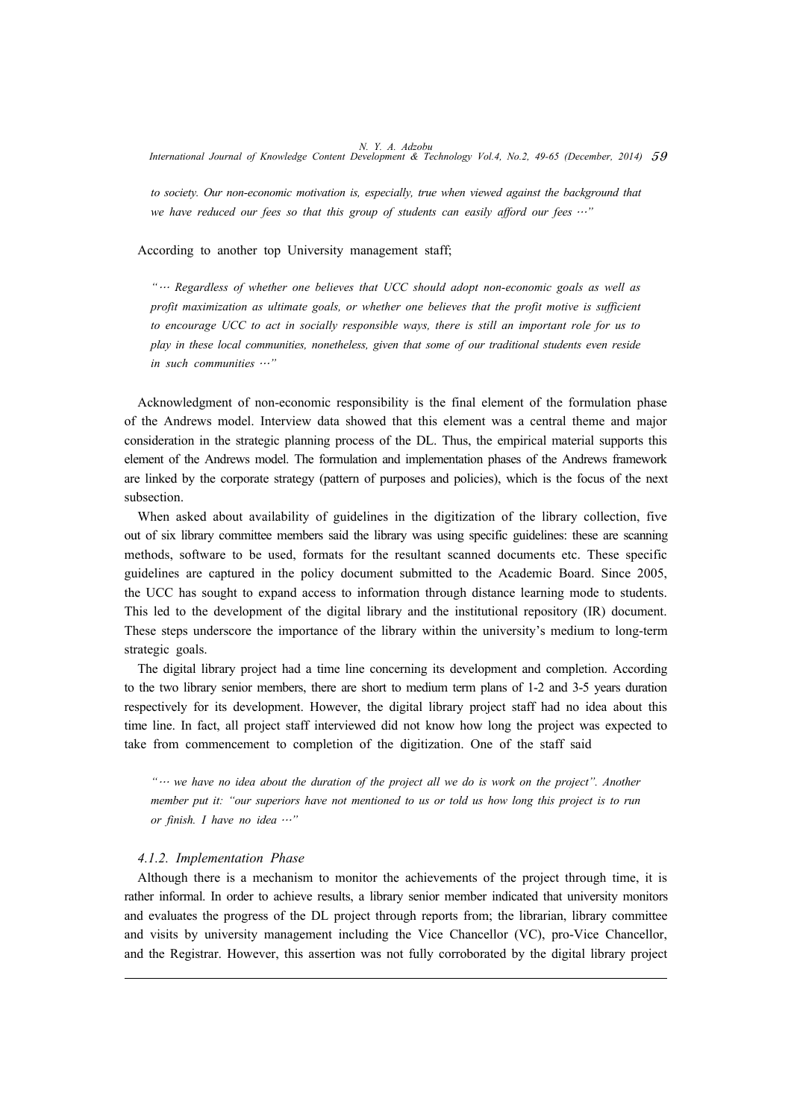*to society. Our non-economic motivation is, especially, true when viewed against the background that we have reduced our fees so that this group of students can easily afford our fees* …*"*

According to another top University management staff;

*"*… *Regardless of whether one believes that UCC should adopt non-economic goals as well as profit maximization as ultimate goals, or whether one believes that the profit motive is sufficient to encourage UCC to act in socially responsible ways, there is still an important role for us to play in these local communities, nonetheless, given that some of our traditional students even reside in such communities* …*"*

Acknowledgment of non-economic responsibility is the final element of the formulation phase of the Andrews model. Interview data showed that this element was a central theme and major consideration in the strategic planning process of the DL. Thus, the empirical material supports this element of the Andrews model. The formulation and implementation phases of the Andrews framework are linked by the corporate strategy (pattern of purposes and policies), which is the focus of the next subsection.

When asked about availability of guidelines in the digitization of the library collection, five out of six library committee members said the library was using specific guidelines: these are scanning methods, software to be used, formats for the resultant scanned documents etc. These specific guidelines are captured in the policy document submitted to the Academic Board. Since 2005, the UCC has sought to expand access to information through distance learning mode to students. This led to the development of the digital library and the institutional repository (IR) document. These steps underscore the importance of the library within the university's medium to long-term strategic goals.

The digital library project had a time line concerning its development and completion. According to the two library senior members, there are short to medium term plans of 1-2 and 3-5 years duration respectively for its development. However, the digital library project staff had no idea about this time line. In fact, all project staff interviewed did not know how long the project was expected to take from commencement to completion of the digitization. One of the staff said

*"*… we have no idea about the duration of the project all we do is work on the project". Another *member put it: "our superiors have not mentioned to us or told us how long this project is to run or finish. I have no idea* …*"*

#### *4.1.2. Implementation Phase*

Although there is a mechanism to monitor the achievements of the project through time, it is rather informal. In order to achieve results, a library senior member indicated that university monitors and evaluates the progress of the DL project through reports from; the librarian, library committee and visits by university management including the Vice Chancellor (VC), pro-Vice Chancellor, and the Registrar. However, this assertion was not fully corroborated by the digital library project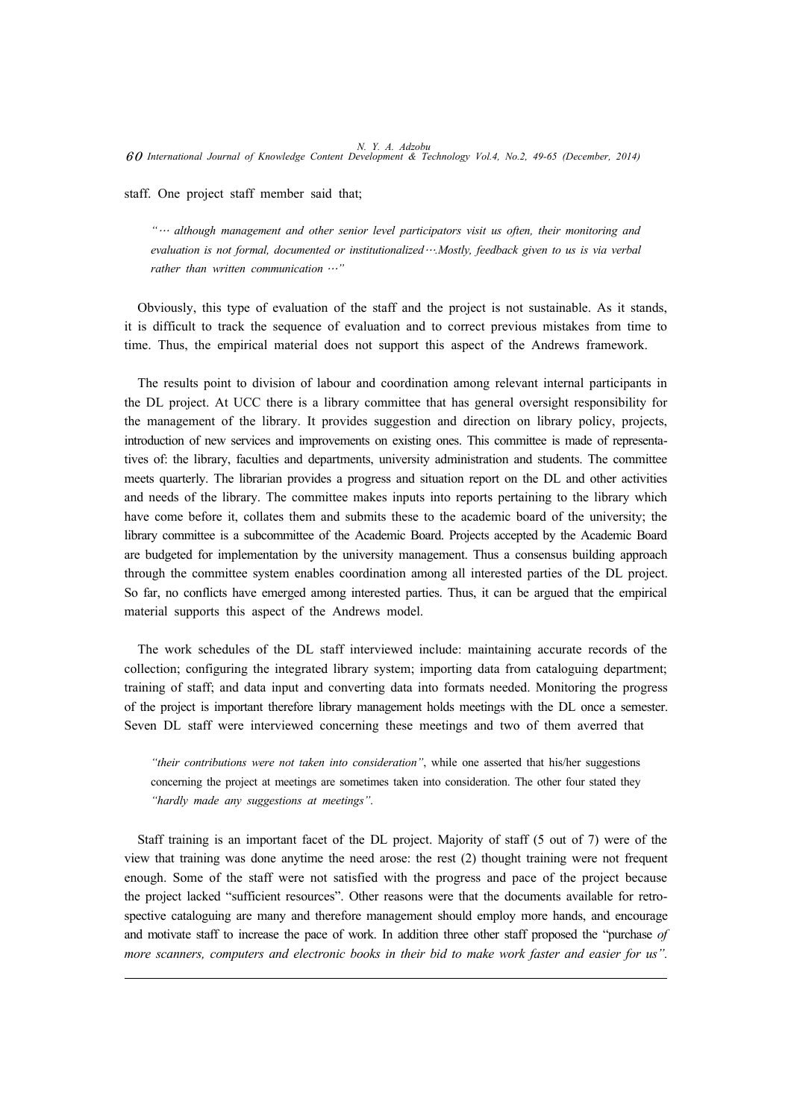staff. One project staff member said that;

*"*… *although management and other senior level participators visit us often, their monitoring and evaluation is not formal, documented or institutionalized*…*.Mostly, feedback given to us is via verbal rather than written communication* …*"*

Obviously, this type of evaluation of the staff and the project is not sustainable. As it stands, it is difficult to track the sequence of evaluation and to correct previous mistakes from time to time. Thus, the empirical material does not support this aspect of the Andrews framework.

The results point to division of labour and coordination among relevant internal participants in the DL project. At UCC there is a library committee that has general oversight responsibility for the management of the library. It provides suggestion and direction on library policy, projects, introduction of new services and improvements on existing ones. This committee is made of representatives of: the library, faculties and departments, university administration and students. The committee meets quarterly. The librarian provides a progress and situation report on the DL and other activities and needs of the library. The committee makes inputs into reports pertaining to the library which have come before it, collates them and submits these to the academic board of the university; the library committee is a subcommittee of the Academic Board. Projects accepted by the Academic Board are budgeted for implementation by the university management. Thus a consensus building approach through the committee system enables coordination among all interested parties of the DL project. So far, no conflicts have emerged among interested parties. Thus, it can be argued that the empirical material supports this aspect of the Andrews model.

The work schedules of the DL staff interviewed include: maintaining accurate records of the collection; configuring the integrated library system; importing data from cataloguing department; training of staff; and data input and converting data into formats needed. Monitoring the progress of the project is important therefore library management holds meetings with the DL once a semester. Seven DL staff were interviewed concerning these meetings and two of them averred that

*"their contributions were not taken into consideration"*, while one asserted that his/her suggestions concerning the project at meetings are sometimes taken into consideration. The other four stated they *"hardly made any suggestions at meetings"*.

Staff training is an important facet of the DL project. Majority of staff (5 out of 7) were of the view that training was done anytime the need arose: the rest (2) thought training were not frequent enough. Some of the staff were not satisfied with the progress and pace of the project because the project lacked "sufficient resources". Other reasons were that the documents available for retrospective cataloguing are many and therefore management should employ more hands, and encourage and motivate staff to increase the pace of work. In addition three other staff proposed the "purchase *of more scanners, computers and electronic books in their bid to make work faster and easier for us".*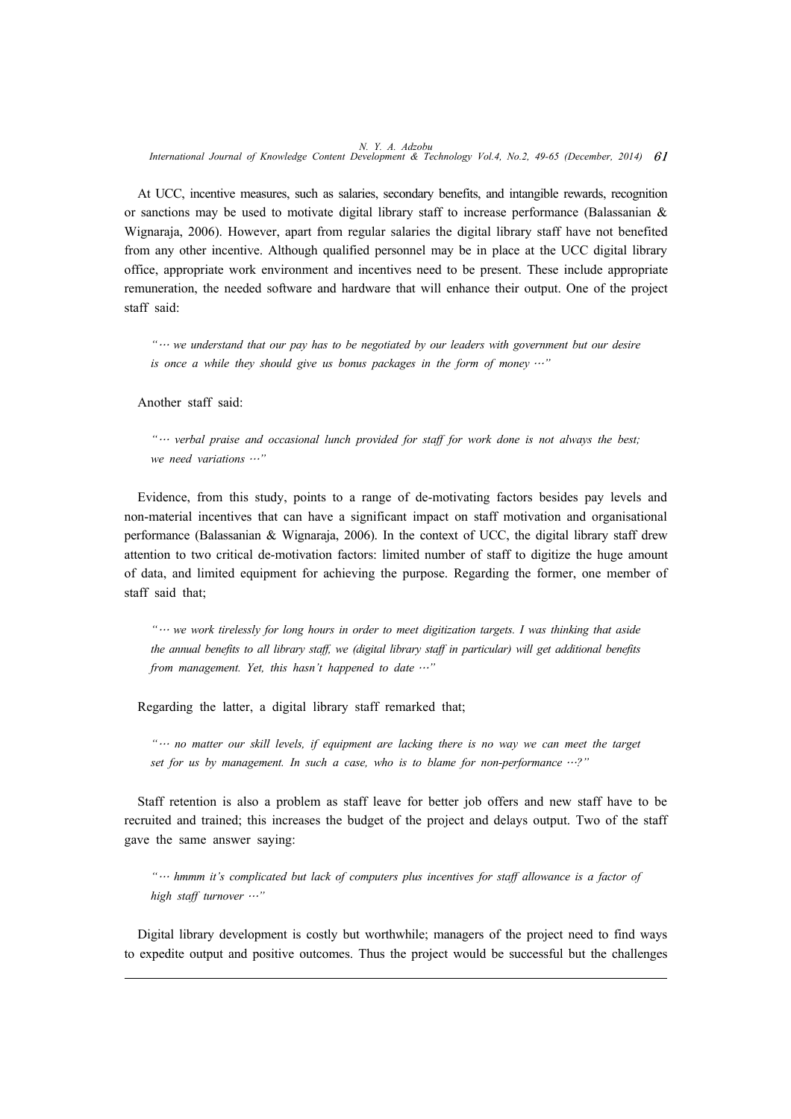At UCC, incentive measures, such as salaries, secondary benefits, and intangible rewards, recognition or sanctions may be used to motivate digital library staff to increase performance (Balassanian  $\&$ Wignaraja, 2006). However, apart from regular salaries the digital library staff have not benefited from any other incentive. Although qualified personnel may be in place at the UCC digital library office, appropriate work environment and incentives need to be present. These include appropriate remuneration, the needed software and hardware that will enhance their output. One of the project staff said:

*"*… *we understand that our pay has to be negotiated by our leaders with government but our desire is once a while they should give us bonus packages in the form of money* …*"* 

Another staff said:

*"*… *verbal praise and occasional lunch provided for staff for work done is not always the best; we need variations* …*"*

Evidence, from this study, points to a range of de-motivating factors besides pay levels and non-material incentives that can have a significant impact on staff motivation and organisational performance (Balassanian & Wignaraja, 2006). In the context of UCC, the digital library staff drew attention to two critical de-motivation factors: limited number of staff to digitize the huge amount of data, and limited equipment for achieving the purpose. Regarding the former, one member of staff said that;

*"*… *we work tirelessly for long hours in order to meet digitization targets. I was thinking that aside the annual benefits to all library staff, we (digital library staff in particular) will get additional benefits from management. Yet, this hasn't happened to date* …*"*

Regarding the latter, a digital library staff remarked that;

*"*… *no matter our skill levels, if equipment are lacking there is no way we can meet the target set for us by management. In such a case, who is to blame for non-performance* …*?"*

Staff retention is also a problem as staff leave for better job offers and new staff have to be recruited and trained; this increases the budget of the project and delays output. Two of the staff gave the same answer saying:

*"*… *hmmm it's complicated but lack of computers plus incentives for staff allowance is a factor of high staff turnover* …*"*

Digital library development is costly but worthwhile; managers of the project need to find ways to expedite output and positive outcomes. Thus the project would be successful but the challenges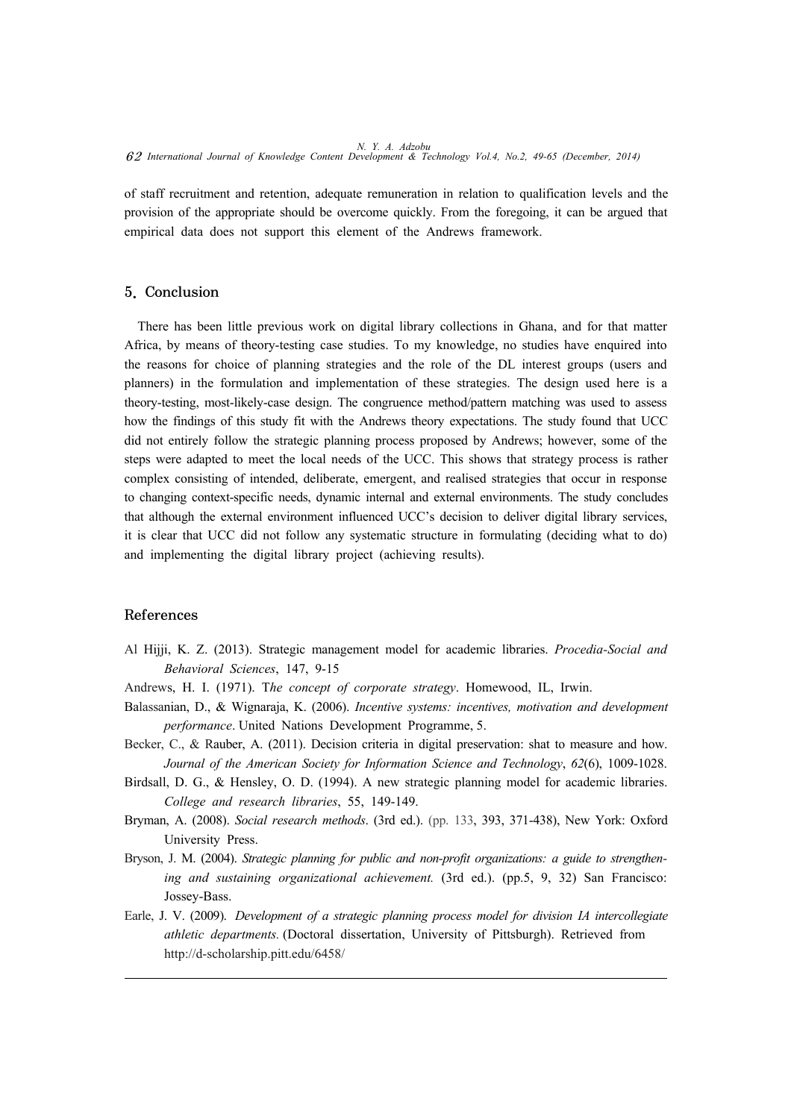of staff recruitment and retention, adequate remuneration in relation to qualification levels and the provision of the appropriate should be overcome quickly. From the foregoing, it can be argued that empirical data does not support this element of the Andrews framework.

#### 5. Conclusion

There has been little previous work on digital library collections in Ghana, and for that matter Africa, by means of theory-testing case studies. To my knowledge, no studies have enquired into the reasons for choice of planning strategies and the role of the DL interest groups (users and planners) in the formulation and implementation of these strategies. The design used here is a theory-testing, most-likely-case design. The congruence method/pattern matching was used to assess how the findings of this study fit with the Andrews theory expectations. The study found that UCC did not entirely follow the strategic planning process proposed by Andrews; however, some of the steps were adapted to meet the local needs of the UCC. This shows that strategy process is rather complex consisting of intended, deliberate, emergent, and realised strategies that occur in response to changing context-specific needs, dynamic internal and external environments. The study concludes that although the external environment influenced UCC's decision to deliver digital library services, it is clear that UCC did not follow any systematic structure in formulating (deciding what to do) and implementing the digital library project (achieving results).

#### References

- Al Hijji, K. Z. (2013). Strategic management model for academic libraries. *Procedia-Social and Behavioral Sciences*, 147, 9-15
- Andrews, H. I. (1971). T*he concept of corporate strategy*. Homewood, IL, Irwin.
- Balassanian, D., & Wignaraja, K. (2006). *Incentive systems: incentives, motivation and development performance*. United Nations Development Programme, 5.
- Becker, C., & Rauber, A. (2011). Decision criteria in digital preservation: shat to measure and how. *Journal of the American Society for Information Science and Technology*, *62*(6), 1009-1028.
- Birdsall, D. G., & Hensley, O. D. (1994). A new strategic planning model for academic libraries. *College and research libraries*, 55, 149-149.
- Bryman, A. (2008). *Social research methods*. (3rd ed.). (pp. 133, 393, 371-438), New York: Oxford University Press.
- Bryson, J. M. (2004). *Strategic planning for public and non-profit organizations: a guide to strengthening and sustaining organizational achievement.* (3rd ed.). (pp.5, 9, 32) San Francisco: Jossey-Bass.
- Earle, J. V. (2009). *Development of a strategic planning process model for division IA intercollegiate athletic departments.* (Doctoral dissertation, University of Pittsburgh). Retrieved from http://d-scholarship.pitt.edu/6458/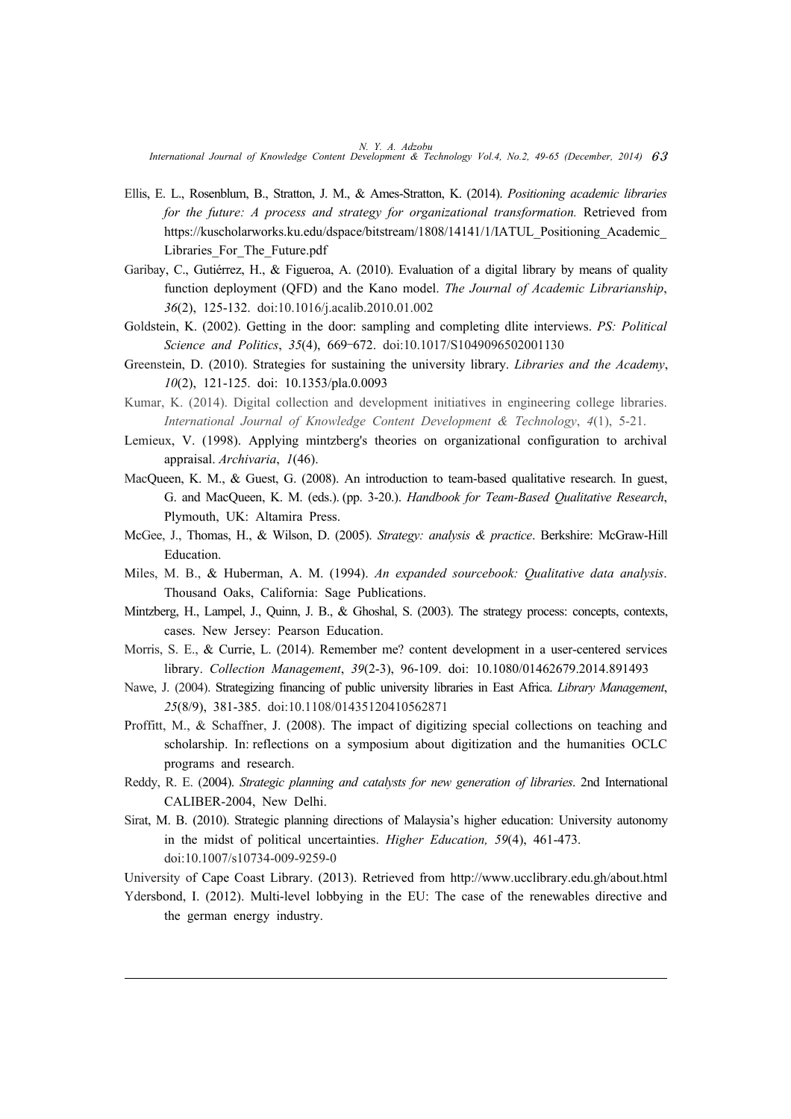- Ellis, E. L., Rosenblum, B., Stratton, J. M., & Ames-Stratton, K. (2014). *Positioning academic libraries for the future: A process and strategy for organizational transformation.* Retrieved from https://kuscholarworks.ku.edu/dspace/bitstream/1808/14141/1/IATUL\_Positioning\_Academic Libraries\_For\_The\_Future.pdf
- Garibay, C., Gutiérrez, H., & Figueroa, A. (2010). Evaluation of a digital library by means of quality function deployment (QFD) and the Kano model. *The Journal of Academic Librarianship*, *36*(2), 125-132. doi:10.1016/j.acalib.2010.01.002
- Goldstein, K. (2002). Getting in the door: sampling and completing dlite interviews. *PS: Political Science and Politics*, *35*(4), 669–672. doi:10.1017/S1049096502001130
- Greenstein, D. (2010). Strategies for sustaining the university library. *Libraries and the Academy*, *10*(2), 121-125. doi: 10.1353/pla.0.0093
- Kumar, K. (2014). Digital collection and development initiatives in engineering college libraries. *International Journal of Knowledge Content Development & Technology*, *4*(1), 5-21.
- Lemieux, V. (1998). Applying mintzberg's theories on organizational configuration to archival appraisal. *Archivaria*, *1*(46).
- MacQueen, K. M., & Guest, G. (2008). An introduction to team-based qualitative research. In guest, G. and MacQueen, K. M. (eds.). (pp. 3-20.). *Handbook for Team-Based Qualitative Research*, Plymouth, UK: Altamira Press.
- McGee, J., Thomas, H., & Wilson, D. (2005). *Strategy: analysis & practice*. Berkshire: McGraw-Hill Education.
- Miles, M. B., & Huberman, A. M. (1994). *An expanded sourcebook: Qualitative data analysis*. Thousand Oaks, California: Sage Publications.
- Mintzberg, H., Lampel, J., Quinn, J. B., & Ghoshal, S. (2003). The strategy process: concepts, contexts, cases. New Jersey: Pearson Education.
- Morris, S. E., & Currie, L. (2014). Remember me? content development in a user-centered services library. *Collection Management*, *39*(2-3), 96-109. doi: 10.1080/01462679.2014.891493
- Nawe, J. (2004). Strategizing financing of public university libraries in East Africa. *Library Management*, *25*(8/9), 381-385. doi:10.1108/01435120410562871
- Proffitt, M., & Schaffner, J. (2008). The impact of digitizing special collections on teaching and scholarship. In: reflections on a symposium about digitization and the humanities OCLC programs and research.
- Reddy, R. E. (2004). *Strategic planning and catalysts for new generation of libraries*. 2nd International CALIBER-2004, New Delhi.
- Sirat, M. B. (2010). Strategic planning directions of Malaysia's higher education: University autonomy in the midst of political uncertainties. *Higher Education, 59*(4), 461-473. doi:10.1007/s10734-009-9259-0

University of Cape Coast Library. (2013). Retrieved from http://www.ucclibrary.edu.gh/about.html

Ydersbond, I. (2012). Multi-level lobbying in the EU: The case of the renewables directive and the german energy industry.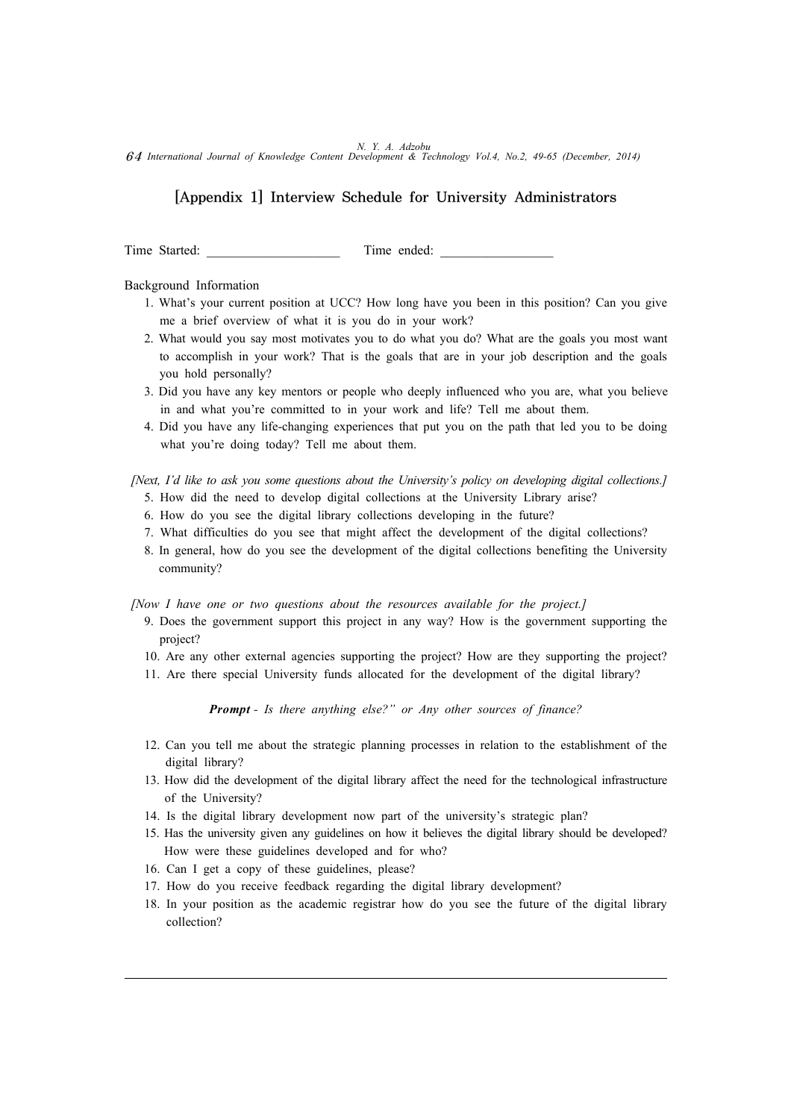# [Appendix 1] Interview Schedule for University Administrators

Time Started: Time ended:

Background Information

- 1. What's your current position at UCC? How long have you been in this position? Can you give me a brief overview of what it is you do in your work?
- 2. What would you say most motivates you to do what you do? What are the goals you most want to accomplish in your work? That is the goals that are in your job description and the goals you hold personally?
- 3. Did you have any key mentors or people who deeply influenced who you are, what you believe in and what you're committed to in your work and life? Tell me about them.
- 4. Did you have any life-changing experiences that put you on the path that led you to be doing what you're doing today? Tell me about them.

 *[Next, I'd like to ask you some questions about the University's policy on developing digital collections.]*

- 5. How did the need to develop digital collections at the University Library arise?
- 6. How do you see the digital library collections developing in the future?
- 7. What difficulties do you see that might affect the development of the digital collections?
- 8. In general, how do you see the development of the digital collections benefiting the University community?

 *[Now I have one or two questions about the resources available for the project.]*

- 9. Does the government support this project in any way? How is the government supporting the project?
- 10. Are any other external agencies supporting the project? How are they supporting the project?
- 11. Are there special University funds allocated for the development of the digital library?

*Prompt - Is there anything else?" or Any other sources of finance?*

- 12. Can you tell me about the strategic planning processes in relation to the establishment of the digital library?
- 13. How did the development of the digital library affect the need for the technological infrastructure of the University?
- 14. Is the digital library development now part of the university's strategic plan?
- 15. Has the university given any guidelines on how it believes the digital library should be developed? How were these guidelines developed and for who?
- 16. Can I get a copy of these guidelines, please?
- 17. How do you receive feedback regarding the digital library development?
- 18. In your position as the academic registrar how do you see the future of the digital library collection?